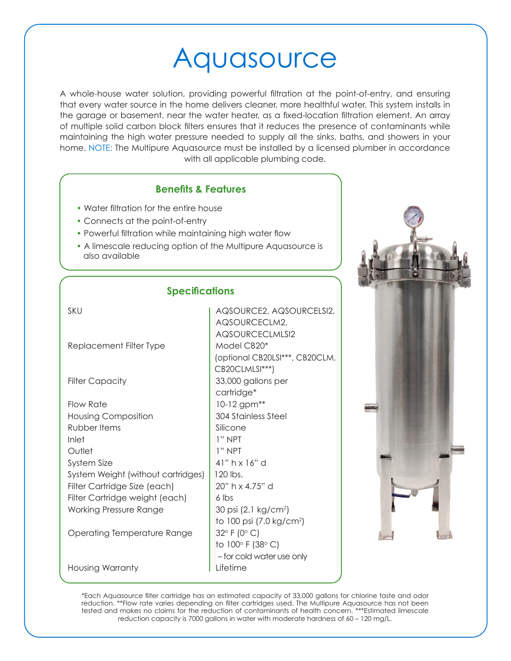# Aquasource

A whole-house water solution, providing powerful filtration at the point-of-entry, and ensuring that every water source in the home delivers cleaner, more healthful water. This system installs in the garage or basement, near the water heater, as a fixed-location filtration element. An array of multiple solid carbon block filters ensures that it reduces the presence of contaminants while maintaining the high water pressure needed to supply all the sinks, baths, and showers in your home. NOTE: The Multipure Aquasource must be installed by a licensed plumber in accordance with all applicable plumbing code.

## **Benefits & Features**

- Water filtration for the entire house
- Connects at the point-of-entry
- Powerful filtration while maintaining high water flow
- A limescale reducing option of the Multipure Aquasource is also available

### **Specifications**

| SKU                                | AQSOURCE2, AQSOURCELSI2,             |
|------------------------------------|--------------------------------------|
|                                    | AQSOURCECLM2,                        |
|                                    | AQSOURCECLMLSI2                      |
| Replacement Filter Type            | Model CB20*                          |
|                                    | (optional CB20LSI***, CB20CLM,       |
|                                    | CB20CLMLSI***)                       |
| <b>Filter Capacity</b>             | 33,000 gallons per                   |
|                                    | cartridge*                           |
| Flow Rate                          | 10-12 gpm**                          |
| <b>Housing Composition</b>         | <b>304 Stainless Steel</b>           |
| Rubber Items                       | Silicone                             |
| Inlet                              | $1"$ NPT                             |
| Outlet                             | $1"$ NPT                             |
| System Size                        | 41" $h \times 16"$ d                 |
| System Weight (without cartridges) | 120 lbs.                             |
| Filter Cartridge Size (each)       | 20" h x 4.75" d                      |
| Filter Cartridge weight (each)     | 6 lbs                                |
| <b>Working Pressure Range</b>      | 30 psi (2.1 kg/cm <sup>2</sup> )     |
|                                    | to 100 psi (7.0 kg/cm <sup>2</sup> ) |
| Operating Temperature Range        | $32^{\circ}$ F (0 $^{\circ}$ C)      |
|                                    | to 100° F (38° C)                    |
|                                    | - for cold water use only            |
| Housing Warranty                   | Lifetime                             |



\*Each Aquasource filter cartridge has an estimated capacity of 33,000 gallons for chlorine taste and odor reduction. \*\*Flow rate varies depending on filter cartridges used. The Multipure Aquasource has not been tested and makes no claims for the reduction of contaminants of health concern. \*\*\*Estimated limescale reduction capacity is 7000 gallons in water with moderate hardness of 60 – 120 mg/L.